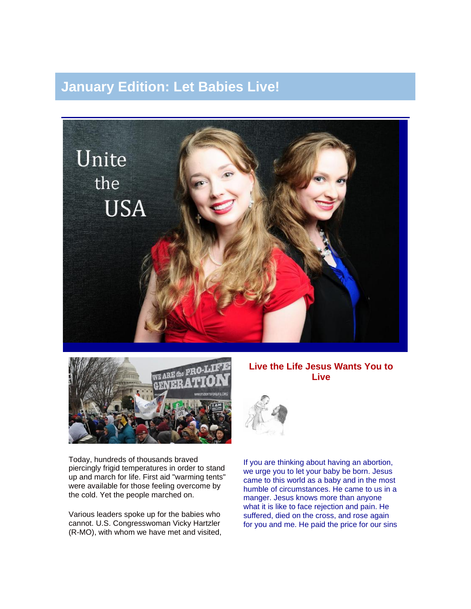# **January Edition: Let Babies Live!**





Today, hundreds of thousands braved piercingly frigid temperatures in order to stand up and march for life. First aid "warming tents" were available for those feeling overcome by the cold. Yet the people marched on.

Various leaders spoke up for the babies who cannot. U.S. Congresswoman Vicky Hartzler (R-MO), with whom we have met and visited,

#### **Live the Life Jesus Wants You to Live**



If you are thinking about having an abortion, we urge you to let your baby be born. Jesus came to this world as a baby and in the most humble of circumstances. He came to us in a manger. Jesus knows more than anyone what it is like to face rejection and pain. He suffered, died on the cross, and rose again for you and me. He paid the price for our sins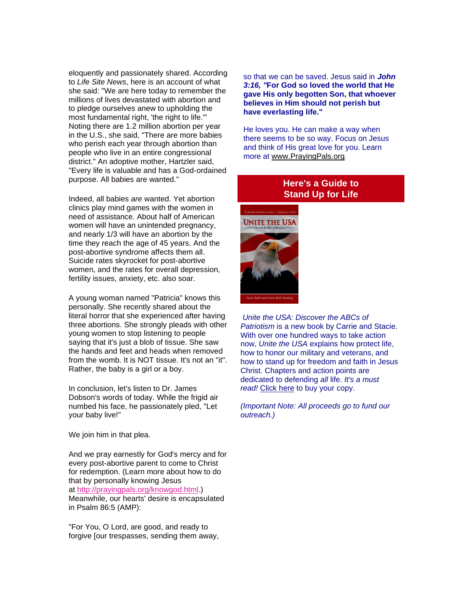eloquently and passionately shared. According to *Life Site News*, here is an account of what she said: "We are here today to remember the millions of lives devastated with abortion and to pledge ourselves anew to upholding the most fundamental right, 'the right to life.'" Noting there are 1.2 million abortion per year in the U.S., she said, "There are more babies who perish each year through abortion than people who live in an entire congressional district." An adoptive mother, Hartzler said, "Every life is valuable and has a God-ordained purpose. All babies are wanted."

Indeed, all babies *are* wanted. Yet abortion clinics play mind games with the women in need of assistance. About half of American women will have an unintended pregnancy, and nearly 1/3 will have an abortion by the time they reach the age of 45 years. And the post-abortive syndrome affects them all. Suicide rates skyrocket for post-abortive women, and the rates for overall depression, fertility issues, anxiety, etc. also soar.

A young woman named "Patricia" knows this personally. She recently shared about the literal horror that she experienced after having three abortions. She strongly pleads with other young women to stop listening to people saying that it's just a blob of tissue. She saw the hands and feet and heads when removed from the womb. It is NOT tissue. It's not an "it". Rather, the baby is a girl or a boy.

In conclusion, let's listen to Dr. James Dobson's words of today. While the frigid air numbed his face, he passionately pled, "Let your baby live!"

We join him in that plea.

And we pray earnestly for God's mercy and for every post-abortive parent to come to Christ for redemption. (Learn more about how to do that by personally knowing Jesus at [http://prayingpals.org/knowgod.html.](http://prayingpals.org/knowgod.html)) Meanwhile, our hearts' desire is encapsulated in Psalm 86:5 (AMP):

"For You, O Lord, are good, and ready to forgive [our trespasses, sending them away, so that we can be saved. Jesus said in *John 3:16, "***For God so loved the world that He gave His only begotten Son, that whoever believes in Him should not perish but have everlasting life."**

He loves you. He can make a way when there seems to be so way. Focus on Jesus and think of His great love for you. Learn more at [www.PrayingPals.org.](http://www.prayingpals.org/)

## **Here's a Guide to Stand Up for Life**



*Unite the USA: Discover the ABCs of Patriotism* is a new book by Carrie and Stacie. With over one hundred ways to take action now, *Unite the USA* explains how protect life, how to honor our military and veterans, and how to stand up for freedom and faith in Jesus Christ. Chapters and action points are dedicated to defending *all* life. *It's a must*  read! [Click here](http://unitetheusa.org/id56.html) to buy your copy.

*(Important Note: All proceeds go to fund our outreach.)*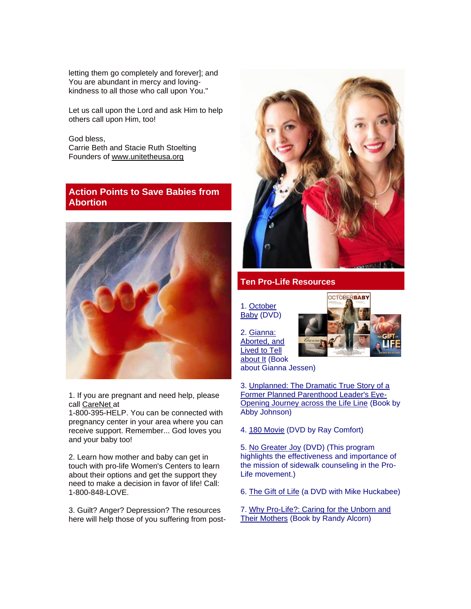letting them go completely and forever]; and You are abundant in mercy and lovingkindness to all those who call upon You."

Let us call upon the Lord and ask Him to help others call upon Him, too!

God bless, Carrie Beth and Stacie Ruth Stoelting Founders of [www.unitetheusa.org](http://www.unitetheusa.org/)

## **Action Points to Save Babies from Abortion**



1. If you are pregnant and need help, please call [CareNet](http://r20.rs6.net/tn.jsp?e=001pRCuev3OJh_ql-jFozyWKPuf7nkR_ulbS0D7VSAwVn45wm7DtOjhxSCX5-V81c5Fi0EWt2g0HTp_5K1GsVWstACAH66FfuA3dc_FehzPl2M=) at

1-800-395-HELP. You can be connected with pregnancy center in your area where you can receive support. Remember... God loves you and your baby too!

2. Learn how mother and baby can get in touch with pro-life Women's Centers to learn about their options and get the support they need to make a decision in favor of life! Call: 1-800-848-LOVE.

3. Guilt? Anger? Depression? The resources here will help those of you suffering from post-



#### **Ten Pro-Life Resources**

1. [October](http://r20.rs6.net/tn.jsp?e=001pRCuev3OJh_ql-jFozyWKPuf7nkR_ulbS0D7VSAwVn45wm7DtOjhxSCX5-V81c5FYd8bEV7I2HoDsb983Fv2n4vzNh7ountKZ4hMDiSIa4SGzuqf1FQnaQyljGRmKyB4nBLj7aesMAI=)  [Baby](http://r20.rs6.net/tn.jsp?e=001pRCuev3OJh_ql-jFozyWKPuf7nkR_ulbS0D7VSAwVn45wm7DtOjhxSCX5-V81c5FYd8bEV7I2HoDsb983Fv2n4vzNh7ountKZ4hMDiSIa4SGzuqf1FQnaQyljGRmKyB4nBLj7aesMAI=) (DVD)

2. [Gianna:](http://r20.rs6.net/tn.jsp?e=001pRCuev3OJh_ql-jFozyWKPuf7nkR_ulbS0D7VSAwVn45wm7DtOjhxSCX5-V81c5FYd8bEV7I2HqKStoVAl3Rgg4TNlqHf3Qfi18Y7ufHWx1n2X-sLbkfRd9hTS2Z5MhwohC1rZXPKXt_uepYji2RM0NrjJ6OImx9zkOR3f_OLWA=)  [Aborted, and](http://r20.rs6.net/tn.jsp?e=001pRCuev3OJh_ql-jFozyWKPuf7nkR_ulbS0D7VSAwVn45wm7DtOjhxSCX5-V81c5FYd8bEV7I2HqKStoVAl3Rgg4TNlqHf3Qfi18Y7ufHWx1n2X-sLbkfRd9hTS2Z5MhwohC1rZXPKXt_uepYji2RM0NrjJ6OImx9zkOR3f_OLWA=)  [Lived to Tell](http://r20.rs6.net/tn.jsp?e=001pRCuev3OJh_ql-jFozyWKPuf7nkR_ulbS0D7VSAwVn45wm7DtOjhxSCX5-V81c5FYd8bEV7I2HqKStoVAl3Rgg4TNlqHf3Qfi18Y7ufHWx1n2X-sLbkfRd9hTS2Z5MhwohC1rZXPKXt_uepYji2RM0NrjJ6OImx9zkOR3f_OLWA=)  [about It](http://r20.rs6.net/tn.jsp?e=001pRCuev3OJh_ql-jFozyWKPuf7nkR_ulbS0D7VSAwVn45wm7DtOjhxSCX5-V81c5FYd8bEV7I2HqKStoVAl3Rgg4TNlqHf3Qfi18Y7ufHWx1n2X-sLbkfRd9hTS2Z5MhwohC1rZXPKXt_uepYji2RM0NrjJ6OImx9zkOR3f_OLWA=) (Book



about Gianna Jessen)

3. [Unplanned: The Dramatic True Story of a](http://r20.rs6.net/tn.jsp?e=001pRCuev3OJh_ql-jFozyWKPuf7nkR_ulbS0D7VSAwVn45wm7DtOjhxSCX5-V81c5FYd8bEV7I2HqKStoVAl3Rgg4TNlqHf3Qf5dUDMdLzbeegktlXTcSfCpYpd_QCd17c41c9PJJmUw_tNjKdKCOuKnkZ4VzvRS48IOUOlD2utwrbmrVB5DH-AhoDefChASe6O58dVxNT9ywFhST6gxhhW-iFLKmM5OnV)  [Former Planned Parenthood Leader's Eye-](http://r20.rs6.net/tn.jsp?e=001pRCuev3OJh_ql-jFozyWKPuf7nkR_ulbS0D7VSAwVn45wm7DtOjhxSCX5-V81c5FYd8bEV7I2HqKStoVAl3Rgg4TNlqHf3Qf5dUDMdLzbeegktlXTcSfCpYpd_QCd17c41c9PJJmUw_tNjKdKCOuKnkZ4VzvRS48IOUOlD2utwrbmrVB5DH-AhoDefChASe6O58dVxNT9ywFhST6gxhhW-iFLKmM5OnV)[Opening Journey across the Life Line](http://r20.rs6.net/tn.jsp?e=001pRCuev3OJh_ql-jFozyWKPuf7nkR_ulbS0D7VSAwVn45wm7DtOjhxSCX5-V81c5FYd8bEV7I2HqKStoVAl3Rgg4TNlqHf3Qf5dUDMdLzbeegktlXTcSfCpYpd_QCd17c41c9PJJmUw_tNjKdKCOuKnkZ4VzvRS48IOUOlD2utwrbmrVB5DH-AhoDefChASe6O58dVxNT9ywFhST6gxhhW-iFLKmM5OnV) (Book by Abby Johnson)

4. [180 Movie](http://r20.rs6.net/tn.jsp?e=001pRCuev3OJh_ql-jFozyWKPuf7nkR_ulbS0D7VSAwVn45wm7DtOjhxSCX5-V81c5FYd8bEV7I2HqKStoVAl3Rgg4TNlqHf3QfVLgPGaDtagE19FB29Oka8cLbI-CQJfZQ96VCgHkLfjius6MRFjoyrj-m1GQJ1atWZxInQoHWZLjDQvOa3U5XGZ5ZAczMspwg) (DVD by Ray Comfort)

5. [No Greater Joy](http://r20.rs6.net/tn.jsp?e=001pRCuev3OJh_ql-jFozyWKPuf7nkR_ulbS0D7VSAwVn45wm7DtOjhxSCX5-V81c5FYd8bEV7I2Hr5_B4z1NcdXb9O4ivWhmrTBZTn_PAxkM8lA1LBouc836akY9lMvcDoyVOdW_mUjZGkZwYyEHiO0JVAqgv-70XcrIU3KtUEZUgQnQ6PRPcfvt2h1JOBbTbR7DXUwz2VhMSEMv_oY160MSG0O3sWnnmyE7JvnCyLrFKjcWzKuPt5_0iq-1C8MypPh3p7jTJSOY5_BggF5ULer11vtlzzZ6_iy6Jt-ww3TFQ=) (DVD) (This program highlights the effectiveness and importance of the mission of sidewalk counseling in the Pro-Life movement.)

6. [The Gift of Life](http://www.thegiftoflifemovie.com/takeaction.aspx) (a DVD with Mike Huckabee)

7. [Why Pro-Life?: Caring for the Unborn and](http://www.amazon.com/Why-Pro-Life-Caring-Unborn-Mothers/dp/161970028X/ref=sr_1_8?ie=UTF8&qid=1358486625&sr=8-8&keywords=pro+life)  [Their Mothers](http://www.amazon.com/Why-Pro-Life-Caring-Unborn-Mothers/dp/161970028X/ref=sr_1_8?ie=UTF8&qid=1358486625&sr=8-8&keywords=pro+life) (Book by Randy Alcorn)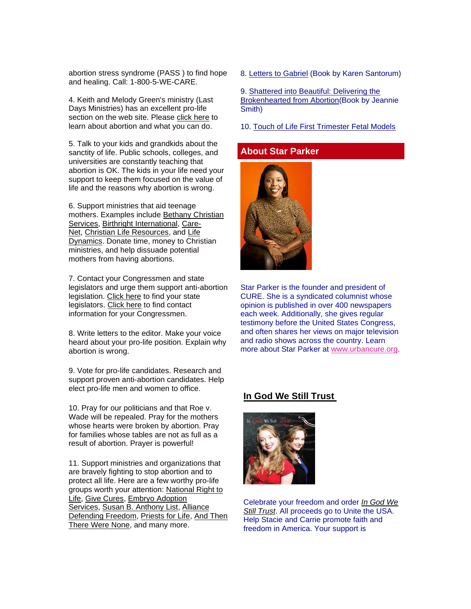abortion stress syndrome (PASS ) to find hope and healing. Call: 1-800-5-WE-CARE.

4. Keith and Melody Green's ministry (Last Days Ministries) has an excellent pro-life section on the web site. Please [click here](http://www.lastdaysministries.org/Groups/1000012278/Last_Days_Ministries/AAA_Pro_Life/AAA_Pro_Life.aspx) to learn about abortion and what you can do.

5. Talk to your kids and grandkids about the sanctity of life. Public schools, colleges, and universities are constantly teaching that abortion is OK. The kids in your life need your support to keep them focused on the value of life and the reasons why abortion is wrong.

6. Support ministries that aid teenage mothers. Examples include [Bethany Christian](http://www.bethany.org/)  [Services,](http://www.bethany.org/) [Birthright International,](http://birthright.org/en/) [Care-](https://www.care-net.org/)[Net,](https://www.care-net.org/) [Christian Life Resources,](http://www.christianliferesources.com/) and [Life](http://www.lifedynamics.com/)  [Dynamics.](http://www.lifedynamics.com/) Donate time, money to Christian ministries, and help dissuade potential mothers from having abortions.

7. Contact your Congressmen and state legislators and urge them support anti-abortion legislation. [Click here](http://www.ncsl.org/aboutus/ncslservice/state-legislative-websites-directory.aspx) to find your state legislators. [Click here](http://beta.congress.gov/members) to find contact information for your Congressmen.

8. Write letters to the editor. Make your voice heard about your pro-life position. Explain why abortion is wrong.

9. Vote for pro-life candidates. Research and support proven anti-abortion candidates. Help elect pro-life men and women to office.

10. Pray for our politicians and that Roe v. Wade will be repealed. Pray for the mothers whose hearts were broken by abortion. Pray for families whose tables are not as full as a result of abortion. Prayer is powerful!

11. Support ministries and organizations that are bravely fighting to stop abortion and to protect all life. Here are a few worthy pro-life groups worth your attention: [National Right to](http://www.nrlc.org/)  [Life,](http://www.nrlc.org/) [Give Cures,](http://www.givecures.org/) [Embryo Adoption](http://adoptembryos.org/)  [Services,](http://adoptembryos.org/) [Susan B. Anthony List,](http://www.sba-list.org/) [Alliance](http://www.alliancedefendingfreedom.org/)  [Defending Freedom,](http://www.alliancedefendingfreedom.org/) [Priests for Life,](http://www.priestsforlife.org/) [And Then](http://www.attwn.org/)  [There Were None,](http://www.attwn.org/) and many more.

8. [Letters to Gabriel](http://www.amazon.com/Letters-Gabriel-Karen-Garver-Santorum/dp/1568145284/ref=sr_1_1?ie=UTF8&qid=1358486718&sr=8-1&keywords=abortion+rick+santorum) (Book by Karen Santorum)

9. [Shattered into Beautiful: Delivering the](http://shatteredintobeautiful.com/index.html)  [Brokenhearted from Abortion\(](http://shatteredintobeautiful.com/index.html)Book by Jeannie Smith)

10. [Touch of Life First Trimester Fetal Models](http://family.christianbook.com/touch-life-first-trimester-fetal-models/pd/5009724?item_code=WW&netp_id=598192&event=ESRCG&view=details)

## **About Star Parker**



Star Parker is the founder and president of CURE. She is a syndicated columnist whose opinion is published in over 400 newspapers each week. Additionally, she gives regular testimony before the United States Congress, and often shares her views on major television and radio shows across the country. Learn more about Star Parker at [www.urbancure.org.](http://www.urbancure.org/)

#### **[In God We Still Trust](http://unitetheusa.org/id56.html)**



Celebrate your freedom and order *[In God We](http://r20.rs6.net/tn.jsp?e=001pRCuev3OJh_ql-jFozyWKPuf7nkR_ulbS0D7VSAwVn45wm7DtOjhxSCX5-V81c5FYd8bEV7I2HqEC3-GxgyDlwA7OM46Basx_0lf0slROaji9pcCHRiDxA==)  [Still Trust](http://r20.rs6.net/tn.jsp?e=001pRCuev3OJh_ql-jFozyWKPuf7nkR_ulbS0D7VSAwVn45wm7DtOjhxSCX5-V81c5FYd8bEV7I2HqEC3-GxgyDlwA7OM46Basx_0lf0slROaji9pcCHRiDxA==)*. All proceeds go to Unite the USA. Help Stacie and Carrie promote faith and freedom in America. Your support is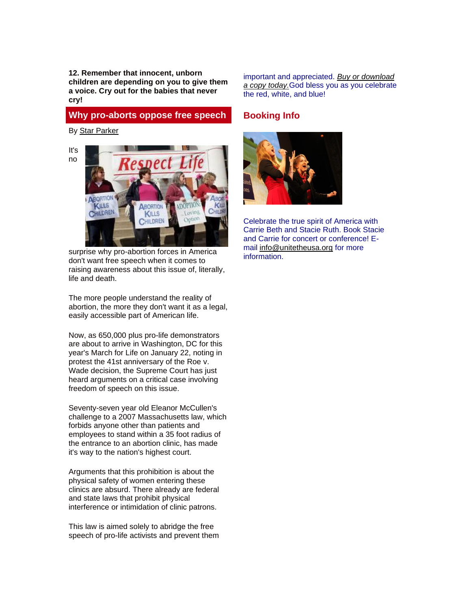**12. Remember that innocent, unborn children are depending on you to give them a voice. Cry out for the babies that never cry!**

## **Why pro-aborts oppose free speech**

By [Star Parker](http://www.urbancure.org/)



surprise why pro-abortion forces in America don't want free speech when it comes to raising awareness about this issue of, literally, life and death.

The more people understand the reality of abortion, the more they don't want it as a legal, easily accessible part of American life.

Now, as 650,000 plus pro-life demonstrators are about to arrive in Washington, DC for this year's March for Life on January 22, noting in protest the 41st anniversary of the Roe v. Wade decision, the Supreme Court has just heard arguments on a critical case involving freedom of speech on this issue.

Seventy-seven year old Eleanor McCullen's challenge to a 2007 Massachusetts law, which forbids anyone other than patients and employees to stand within a 35 foot radius of the entrance to an abortion clinic, has made it's way to the nation's highest court.

Arguments that this prohibition is about the physical safety of women entering these clinics are absurd. There already are federal and state laws that prohibit physical interference or intimidation of clinic patrons.

This law is aimed solely to abridge the free speech of pro-life activists and prevent them important and appreciated. *[Buy or download](http://unitetheusa.org/id56.html)  [a copy today.](http://unitetheusa.org/id56.html)*God bless you as you celebrate the red, white, and blue!

## **Booking Info**



Celebrate the true spirit of America with Carrie Beth and Stacie Ruth. Book Stacie and Carrie for concert or conference! Email [info@unitetheusa.org](mailto:info@unitetheusa.org) for more information.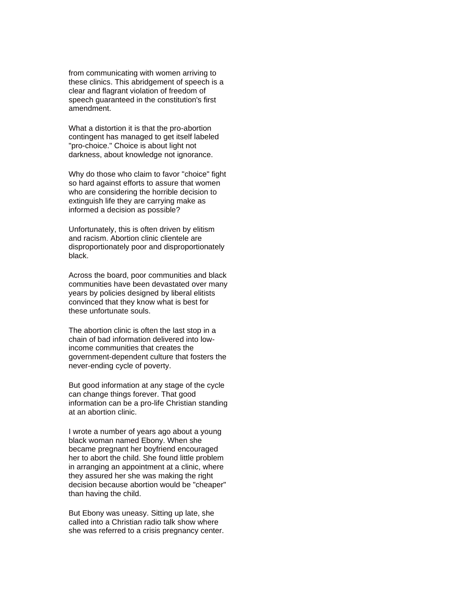from communicating with women arriving to these clinics. This abridgement of speech is a clear and flagrant violation of freedom of speech guaranteed in the constitution's first amendment.

What a distortion it is that the pro-abortion contingent has managed to get itself labeled "pro-choice." Choice is about light not darkness, about knowledge not ignorance.

Why do those who claim to favor "choice" fight so hard against efforts to assure that women who are considering the horrible decision to extinguish life they are carrying make as informed a decision as possible?

Unfortunately, this is often driven by elitism and racism. Abortion clinic clientele are disproportionately poor and disproportionately black.

Across the board, poor communities and black communities have been devastated over many years by policies designed by liberal elitists convinced that they know what is best for these unfortunate souls.

The abortion clinic is often the last stop in a chain of bad information delivered into lowincome communities that creates the government-dependent culture that fosters the never-ending cycle of poverty.

But good information at any stage of the cycle can change things forever. That good information can be a pro-life Christian standing at an abortion clinic.

I wrote a number of years ago about a young black woman named Ebony. When she became pregnant her boyfriend encouraged her to abort the child. She found little problem in arranging an appointment at a clinic, where they assured her she was making the right decision because abortion would be "cheaper" than having the child.

But Ebony was uneasy. Sitting up late, she called into a Christian radio talk show where she was referred to a crisis pregnancy center.